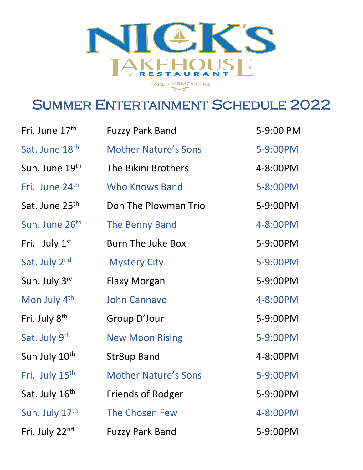

## Summer Entertainment Schedule 2022

| Fri. June 17 <sup>th</sup> | <b>Fuzzy Park Band</b>      | 5-9:00 PM |
|----------------------------|-----------------------------|-----------|
| Sat. June 18th             | <b>Mother Nature's Sons</b> | 5-9:00PM  |
| Sun. June 19th             | The Bikini Brothers         | 4-8:00PM  |
| Fri. June 24 <sup>th</sup> | <b>Who Knows Band</b>       | 5-8:00PM  |
| Sat. June 25 <sup>th</sup> | Don The Plowman Trio        | 5-9:00PM  |
| Sun. June 26 <sup>th</sup> | The Benny Band              | 4-8:00PM  |
| Fri. July $1st$            | <b>Burn The Juke Box</b>    | 5-9:00PM  |
| Sat. July 2nd              | <b>Mystery City</b>         | 5-9:00PM  |
| Sun. July 3rd              | Flaxy Morgan                | 5-9:00PM  |
| Mon July 4th               | <b>John Cannavo</b>         | 4-8:00PM  |
| Fri. July 8 <sup>th</sup>  | Group D'Jour                | 5-9:00PM  |
| Sat. July 9th              | <b>New Moon Rising</b>      | 5-9:00PM  |
| Sun July 10 <sup>th</sup>  | <b>Str8up Band</b>          | 4-8:00PM  |
| Fri. July 15 <sup>th</sup> | <b>Mother Nature's Sons</b> | 5-9:00PM  |
| Sat. July 16th             | <b>Friends of Rodger</b>    | 5-9:00PM  |
| Sun. July 17th             | The Chosen Few              | 4-8:00PM  |
| Fri. July 22nd             | <b>Fuzzy Park Band</b>      | 5-9:00PM  |